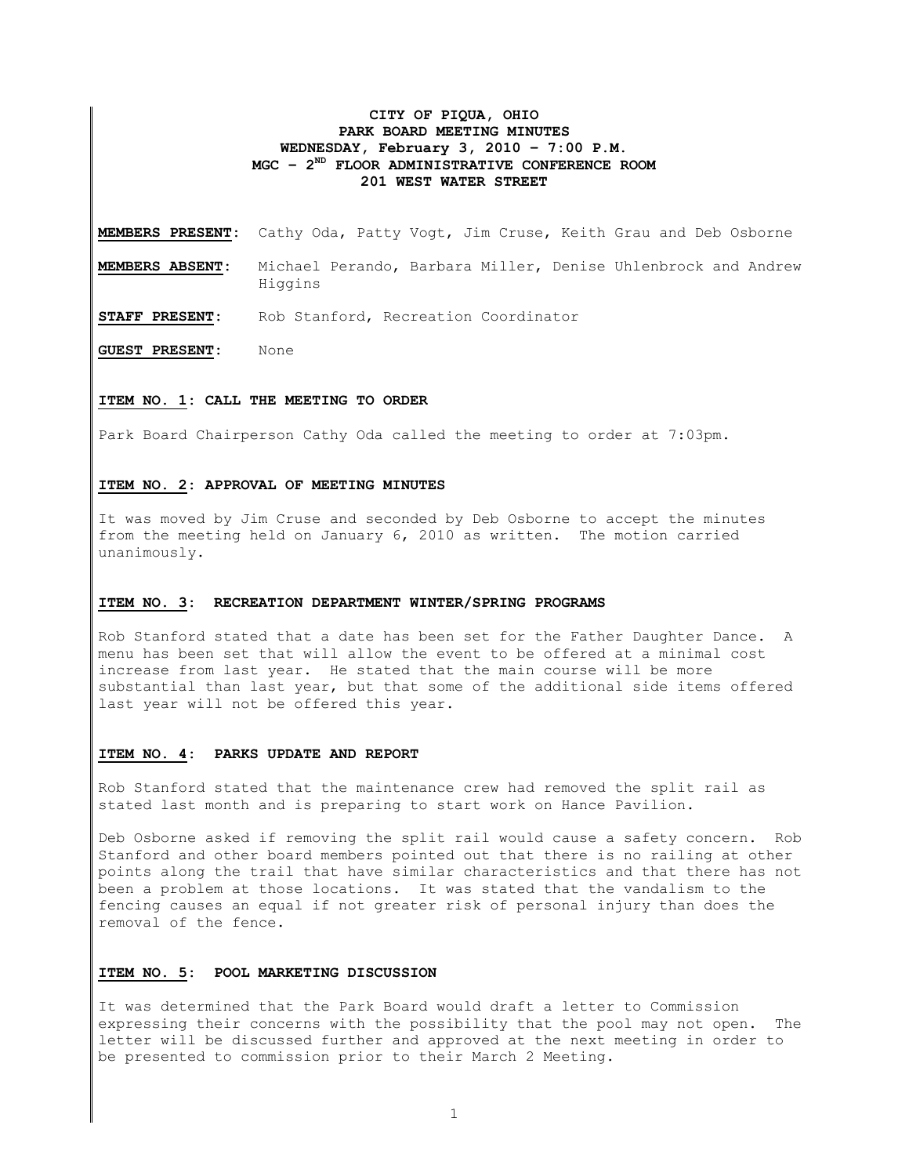## **CITY OF PIQUA, OHIO PARK BOARD MEETING MINUTES WEDNESDAY, February 3, 2010 – 7:00 P.M. MGC – 2ND FLOOR ADMINISTRATIVE CONFERENCE ROOM 201 WEST WATER STREET**

**MEMBERS PRESENT:** Cathy Oda, Patty Vogt, Jim Cruse, Keith Grau and Deb Osborne

- **MEMBERS ABSENT:** Michael Perando, Barbara Miller, Denise Uhlenbrock and Andrew Higgins
- **STAFF PRESENT:** Rob Stanford, Recreation Coordinator

**GUEST PRESENT:** None

### **ITEM NO. 1: CALL THE MEETING TO ORDER**

Park Board Chairperson Cathy Oda called the meeting to order at 7:03pm.

## **ITEM NO. 2: APPROVAL OF MEETING MINUTES**

It was moved by Jim Cruse and seconded by Deb Osborne to accept the minutes from the meeting held on January 6, 2010 as written. The motion carried unanimously.

#### **ITEM NO. 3: RECREATION DEPARTMENT WINTER/SPRING PROGRAMS**

Rob Stanford stated that a date has been set for the Father Daughter Dance. A menu has been set that will allow the event to be offered at a minimal cost increase from last year. He stated that the main course will be more substantial than last year, but that some of the additional side items offered last year will not be offered this year.

### **ITEM NO. 4: PARKS UPDATE AND REPORT**

Rob Stanford stated that the maintenance crew had removed the split rail as stated last month and is preparing to start work on Hance Pavilion.

Deb Osborne asked if removing the split rail would cause a safety concern. Rob Stanford and other board members pointed out that there is no railing at other points along the trail that have similar characteristics and that there has not been a problem at those locations. It was stated that the vandalism to the fencing causes an equal if not greater risk of personal injury than does the removal of the fence.

### **ITEM NO. 5: POOL MARKETING DISCUSSION**

It was determined that the Park Board would draft a letter to Commission expressing their concerns with the possibility that the pool may not open. The letter will be discussed further and approved at the next meeting in order to be presented to commission prior to their March 2 Meeting.